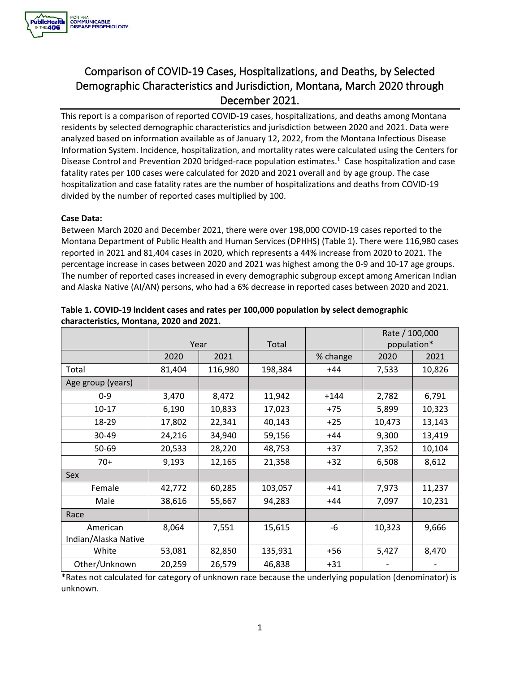

# Comparison of COVID-19 Cases, Hospitalizations, and Deaths, by Selected Demographic Characteristics and Jurisdiction, Montana, March 2020 through December 2021.

This report is a comparison of reported COVID-19 cases, hospitalizations, and deaths among Montana residents by selected demographic characteristics and jurisdiction between 2020 and 2021. Data were analyzed based on information available as of January 12, 2022, from the Montana Infectious Disease Information System. Incidence, hospitalization, and mortality rates were calculated using the Centers for Disease Control and Prevention 2020 bridged-race population estimates.<sup>1</sup> Case hospitalization and case fatality rates per 100 cases were calculated for 2020 and 2021 overall and by age group. The case hospitalization and case fatality rates are the number of hospitalizations and deaths from COVID-19 divided by the number of reported cases multiplied by 100.

#### **Case Data:**

 Between March 2020 and December 2021, there were over 198,000 COVID-19 cases reported to the The number of reported cases increased in every demographic subgroup except among American Indian Montana Department of Public Health and Human Services (DPHHS) (Table 1). There were 116,980 cases reported in 2021 and 81,404 cases in 2020, which represents a 44% increase from 2020 to 2021. The percentage increase in cases between 2020 and 2021 was highest among the 0-9 and 10-17 age groups. and Alaska Native (AI/AN) persons, who had a 6% decrease in reported cases between 2020 and 2021.

|                                  |        |         |         |          | Rate / 100,000 |        |
|----------------------------------|--------|---------|---------|----------|----------------|--------|
|                                  | Year   |         | Total   |          | population*    |        |
|                                  | 2020   | 2021    |         | % change | 2020           | 2021   |
| Total                            | 81,404 | 116,980 | 198,384 | +44      | 7,533          | 10,826 |
| Age group (years)                |        |         |         |          |                |        |
| $0 - 9$                          | 3,470  | 8,472   | 11,942  | $+144$   | 2,782          | 6,791  |
| $10 - 17$                        | 6,190  | 10,833  | 17,023  | +75      | 5,899          | 10,323 |
| 18-29                            | 17,802 | 22,341  | 40,143  | $+25$    | 10,473         | 13,143 |
| 30-49                            | 24,216 | 34,940  | 59,156  | +44      | 9,300          | 13,419 |
| 50-69                            | 20,533 | 28,220  | 48,753  | $+37$    | 7,352          | 10,104 |
| $70+$                            | 9,193  | 12,165  | 21,358  | $+32$    | 6,508          | 8,612  |
| Sex                              |        |         |         |          |                |        |
| Female                           | 42,772 | 60,285  | 103,057 | $+41$    | 7,973          | 11,237 |
| Male                             | 38,616 | 55,667  | 94,283  | +44      | 7,097          | 10,231 |
| Race                             |        |         |         |          |                |        |
| American<br>Indian/Alaska Native | 8,064  | 7,551   | 15,615  | -6       | 10,323         | 9,666  |
| White                            | 53,081 | 82,850  | 135,931 | +56      | 5,427          | 8,470  |
| Other/Unknown                    | 20,259 | 26,579  | 46,838  | $+31$    |                |        |

## **characteristics, Montana, 2020 and 2021. Table 1. COVID-19 incident cases and rates per 100,000 population by select demographic**

\*Rates not calculated for category of unknown race because the underlying population (denominator) is unknown.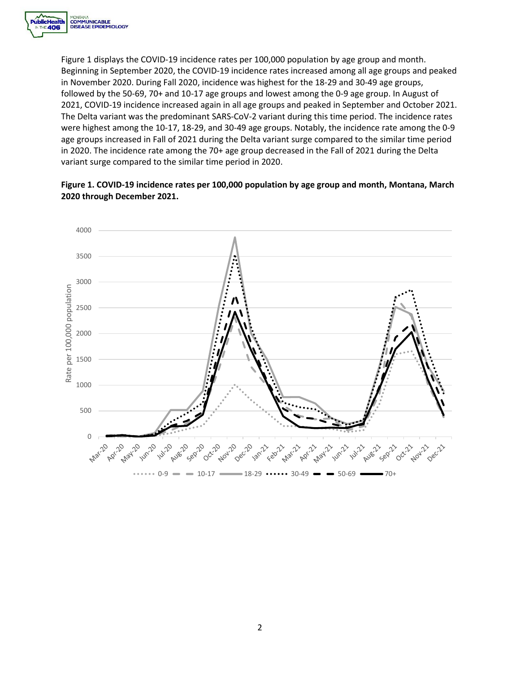

 age groups increased in Fall of 2021 during the Delta variant surge compared to the similar time period Figure 1 displays the COVID-19 incidence rates per 100,000 population by age group and month. Beginning in September 2020, the COVID-19 incidence rates increased among all age groups and peaked in November 2020. During Fall 2020, incidence was highest for the 18-29 and 30-49 age groups, followed by the 50-69, 70+ and 10-17 age groups and lowest among the 0-9 age group. In August of 2021, COVID-19 incidence increased again in all age groups and peaked in September and October 2021. The Delta variant was the predominant SARS-CoV-2 variant during this time period. The incidence rates were highest among the 10-17, 18-29, and 30-49 age groups. Notably, the incidence rate among the 0-9 in 2020. The incidence rate among the 70+ age group decreased in the Fall of 2021 during the Delta variant surge compared to the similar time period in 2020.

### **Figure 1. COVID-19 incidence rates per 100,000 population by age group and month, Montana, March 2020 through December 2021.**

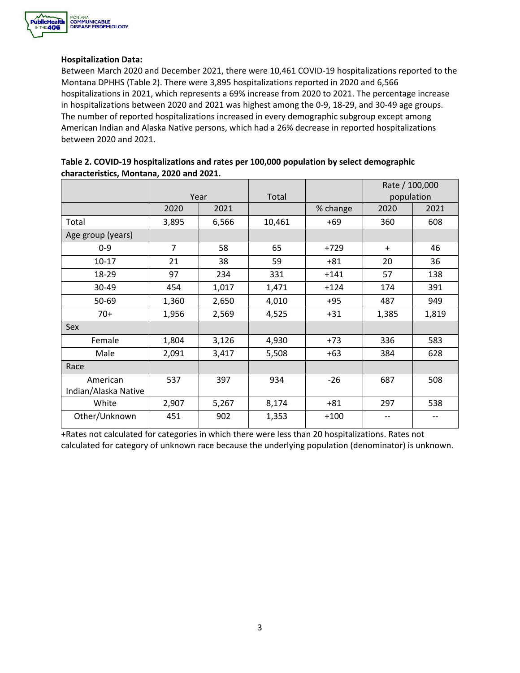

#### **Hospitalization Data:**

 Between March 2020 and December 2021, there were 10,461 COVID-19 hospitalizations reported to the hospitalizations in 2021, which represents a 69% increase from 2020 to 2021. The percentage increase Montana DPHHS (Table 2). There were 3,895 hospitalizations reported in 2020 and 6,566 in hospitalizations between 2020 and 2021 was highest among the 0-9, 18-29, and 30-49 age groups. The number of reported hospitalizations increased in every demographic subgroup except among American Indian and Alaska Native persons, which had a 26% decrease in reported hospitalizations between 2020 and 2021.

|                      |                |       |        |          | Rate / 100,000 |       |
|----------------------|----------------|-------|--------|----------|----------------|-------|
|                      | Year           |       | Total  |          | population     |       |
|                      | 2020           | 2021  |        | % change | 2020           | 2021  |
| Total                | 3,895          | 6,566 | 10,461 | $+69$    | 360            | 608   |
| Age group (years)    |                |       |        |          |                |       |
| $0 - 9$              | $\overline{7}$ | 58    | 65     | $+729$   | $\ddot{}$      | 46    |
| $10 - 17$            | 21             | 38    | 59     | $+81$    | 20             | 36    |
| 18-29                | 97             | 234   | 331    | $+141$   | 57             | 138   |
| 30-49                | 454            | 1,017 | 1,471  | $+124$   | 174            | 391   |
| 50-69                | 1,360          | 2,650 | 4,010  | $+95$    | 487            | 949   |
| $70+$                | 1,956          | 2,569 | 4,525  | $+31$    | 1,385          | 1,819 |
| Sex                  |                |       |        |          |                |       |
| Female               | 1,804          | 3,126 | 4,930  | $+73$    | 336            | 583   |
| Male                 | 2,091          | 3,417 | 5,508  | $+63$    | 384            | 628   |
| Race                 |                |       |        |          |                |       |
| American             | 537            | 397   | 934    | $-26$    | 687            | 508   |
| Indian/Alaska Native |                |       |        |          |                |       |
| White                | 2,907          | 5,267 | 8,174  | $+81$    | 297            | 538   |
| Other/Unknown        | 451            | 902   | 1,353  | $+100$   |                |       |

| Table 2. COVID-19 hospitalizations and rates per 100,000 population by select demographic |
|-------------------------------------------------------------------------------------------|
| characteristics, Montana, 2020 and 2021.                                                  |

+Rates not calculated for categories in which there were less than 20 hospitalizations. Rates not calculated for category of unknown race because the underlying population (denominator) is unknown.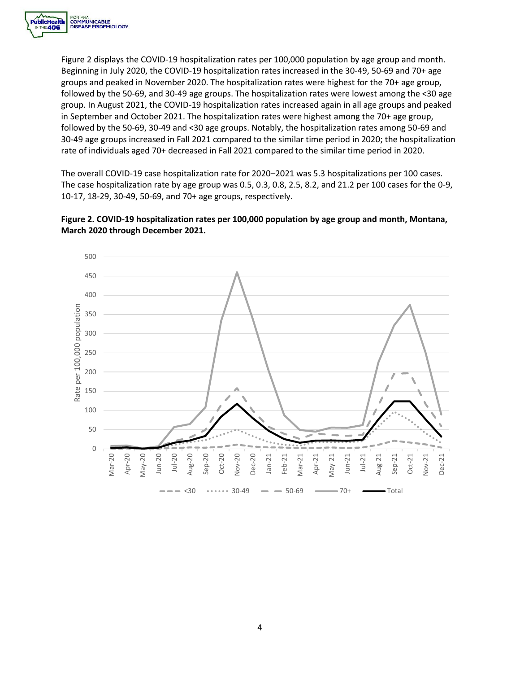

 Figure 2 displays the COVID-19 hospitalization rates per 100,000 population by age group and month. rate of individuals aged 70+ decreased in Fall 2021 compared to the similar time period in 2020. Beginning in July 2020, the COVID-19 hospitalization rates increased in the 30-49, 50-69 and 70+ age groups and peaked in November 2020. The hospitalization rates were highest for the 70+ age group, followed by the 50-69, and 30-49 age groups. The hospitalization rates were lowest among the <30 age group. In August 2021, the COVID-19 hospitalization rates increased again in all age groups and peaked in September and October 2021. The hospitalization rates were highest among the 70+ age group, followed by the 50-69, 30-49 and <30 age groups. Notably, the hospitalization rates among 50-69 and 30-49 age groups increased in Fall 2021 compared to the similar time period in 2020; the hospitalization

The overall COVID-19 case hospitalization rate for 2020–2021 was 5.3 hospitalizations per 100 cases. The case hospitalization rate by age group was 0.5, 0.3, 0.8, 2.5, 8.2, and 21.2 per 100 cases for the 0-9, 10-17, 18-29, 30-49, 50-69, and 70+ age groups, respectively.



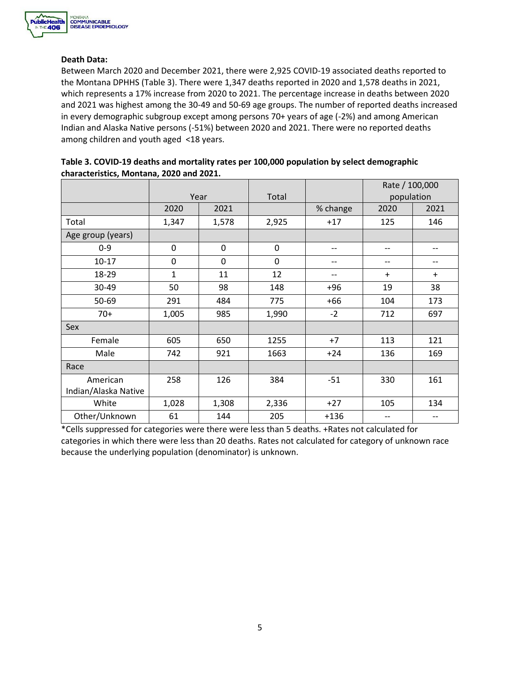

#### **Death Data:**

 Between March 2020 and December 2021, there were 2,925 COVID-19 associated deaths reported to the Montana DPHHS (Table 3). There were 1,347 deaths reported in 2020 and 1,578 deaths in 2021, which represents a 17% increase from 2020 to 2021. The percentage increase in deaths between 2020 and 2021 was highest among the 30-49 and 50-69 age groups. The number of reported deaths increased in every demographic subgroup except among persons 70+ years of age (-2%) and among American Indian and Alaska Native persons (-51%) between 2020 and 2021. There were no reported deaths among children and youth aged <18 years.

|                      |              |       |             |          | Rate / 100,000 |      |  |
|----------------------|--------------|-------|-------------|----------|----------------|------|--|
|                      | Year         |       | Total       |          | population     |      |  |
|                      | 2020         | 2021  |             | % change | 2020           | 2021 |  |
| Total                | 1,347        | 1,578 | 2,925       | $+17$    | 125            | 146  |  |
| Age group (years)    |              |       |             |          |                |      |  |
| $0 - 9$              | $\mathbf 0$  | 0     | $\mathbf 0$ | --       | $-$            | --   |  |
| $10 - 17$            | 0            | 0     | $\mathbf 0$ | --       | --             | --   |  |
| 18-29                | $\mathbf{1}$ | 11    | 12          | --       | $+$            | $+$  |  |
| 30-49                | 50           | 98    | 148         | $+96$    | 19             | 38   |  |
| 50-69                | 291          | 484   | 775         | $+66$    | 104            | 173  |  |
| $70+$                | 1,005        | 985   | 1,990       | $-2$     | 712            | 697  |  |
| Sex                  |              |       |             |          |                |      |  |
| Female               | 605          | 650   | 1255        | $+7$     | 113            | 121  |  |
| Male                 | 742          | 921   | 1663        | $+24$    | 136            | 169  |  |
| Race                 |              |       |             |          |                |      |  |
| American             | 258          | 126   | 384         | $-51$    | 330            | 161  |  |
| Indian/Alaska Native |              |       |             |          |                |      |  |
| White                | 1,028        | 1,308 | 2,336       | $+27$    | 105            | 134  |  |
| Other/Unknown        | 61           | 144   | 205         | $+136$   | --             | --   |  |

| Table 3. COVID-19 deaths and mortality rates per 100,000 population by select demographic |
|-------------------------------------------------------------------------------------------|
| characteristics, Montana, 2020 and 2021.                                                  |

\*Cells suppressed for categories were there were less than 5 deaths. +Rates not calculated for categories in which there were less than 20 deaths. Rates not calculated for category of unknown race because the underlying population (denominator) is unknown.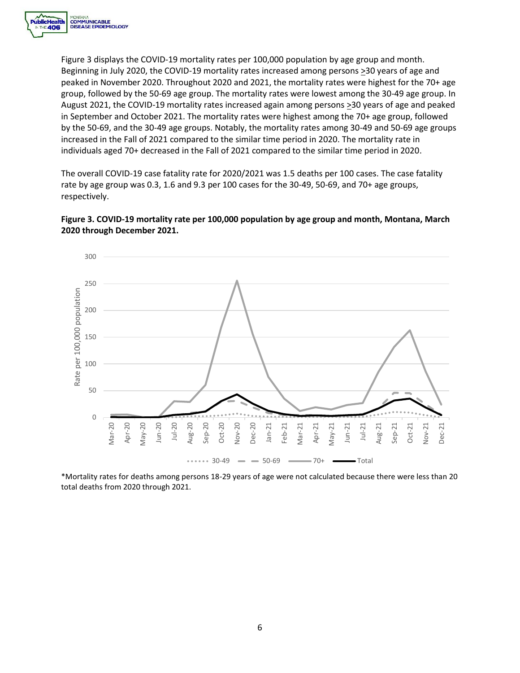

 individuals aged 70+ decreased in the Fall of 2021 compared to the similar time period in 2020. Figure 3 displays the COVID-19 mortality rates per 100,000 population by age group and month. Beginning in July 2020, the COVID-19 mortality rates increased among persons >30 years of age and peaked in November 2020. Throughout 2020 and 2021, the mortality rates were highest for the 70+ age group, followed by the 50-69 age group. The mortality rates were lowest among the 30-49 age group. In August 2021, the COVID-19 mortality rates increased again among persons >30 years of age and peaked in September and October 2021. The mortality rates were highest among the 70+ age group, followed by the 50-69, and the 30-49 age groups. Notably, the mortality rates among 30-49 and 50-69 age groups increased in the Fall of 2021 compared to the similar time period in 2020. The mortality rate in

The overall COVID-19 case fatality rate for 2020/2021 was 1.5 deaths per 100 cases. The case fatality rate by age group was 0.3, 1.6 and 9.3 per 100 cases for the 30-49, 50-69, and 70+ age groups, respectively.





\*Mortality rates for deaths among persons 18-29 years of age were not calculated because there were less than 20 total deaths from 2020 through 2021.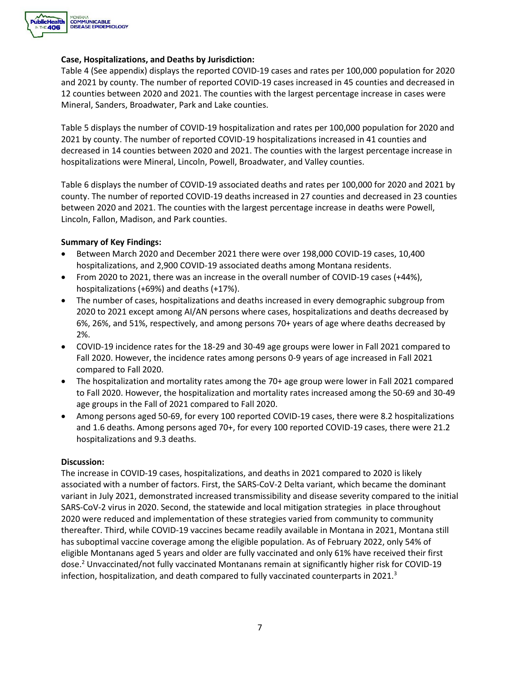

#### **Case, Hospitalizations, and Deaths by Jurisdiction:**

Table 4 (See appendix) displays the reported COVID-19 cases and rates per 100,000 population for 2020 and 2021 by county. The number of reported COVID-19 cases increased in 45 counties and decreased in 12 counties between 2020 and 2021. The counties with the largest percentage increase in cases were Mineral, Sanders, Broadwater, Park and Lake counties.

Table 5 displays the number of COVID-19 hospitalization and rates per 100,000 population for 2020 and 2021 by county. The number of reported COVID-19 hospitalizations increased in 41 counties and decreased in 14 counties between 2020 and 2021. The counties with the largest percentage increase in hospitalizations were Mineral, Lincoln, Powell, Broadwater, and Valley counties.

Table 6 displays the number of COVID-19 associated deaths and rates per 100,000 for 2020 and 2021 by county. The number of reported COVID-19 deaths increased in 27 counties and decreased in 23 counties between 2020 and 2021. The counties with the largest percentage increase in deaths were Powell, Lincoln, Fallon, Madison, and Park counties.

#### **Summary of Key Findings:**

- • Between March 2020 and December 2021 there were over 198,000 COVID-19 cases, 10,400 hospitalizations, and 2,900 COVID-19 associated deaths among Montana residents.
- From 2020 to 2021, there was an increase in the overall number of COVID-19 cases (+44%), hospitalizations (+69%) and deaths (+17%).
- The number of cases, hospitalizations and deaths increased in every demographic subgroup from 2020 to 2021 except among AI/AN persons where cases, hospitalizations and deaths decreased by 6%, 26%, and 51%, respectively, and among persons 70+ years of age where deaths decreased by 2%.
- • COVID-19 incidence rates for the 18-29 and 30-49 age groups were lower in Fall 2021 compared to Fall 2020. However, the incidence rates among persons 0-9 years of age increased in Fall 2021 compared to Fall 2020.
- age groups in the Fall of 2021 compared to Fall 2020. • The hospitalization and mortality rates among the 70+ age group were lower in Fall 2021 compared to Fall 2020. However, the hospitalization and mortality rates increased among the 50-69 and 30-49
- Among persons aged 50-69, for every 100 reported COVID-19 cases, there were 8.2 hospitalizations and 1.6 deaths. Among persons aged 70+, for every 100 reported COVID-19 cases, there were 21.2 hospitalizations and 9.3 deaths.

#### **Discussion:**

 The increase in COVID-19 cases, hospitalizations, and deaths in 2021 compared to 2020 is likely infection, hospitalization, and death compared to fully vaccinated counterparts in 2021.<sup>3</sup> associated with a number of factors. First, the SARS-CoV-2 Delta variant, which became the dominant variant in July 2021, demonstrated increased transmissibility and disease severity compared to the initial SARS-CoV-2 virus in 2020. Second, the statewide and local mitigation strategies in place throughout 2020 were reduced and implementation of these strategies varied from community to community thereafter. Third, while COVID-19 vaccines became readily available in Montana in 2021, Montana still has suboptimal vaccine coverage among the eligible population. As of February 2022, only 54% of eligible Montanans aged 5 years and older are fully vaccinated and only 61% have received their first dose.2 Unvaccinated/not fully vaccinated Montanans remain at significantly higher risk for COVID-19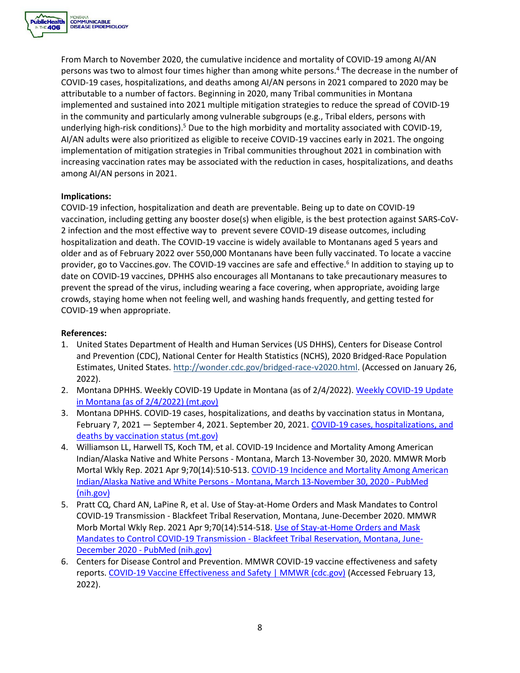

 From March to November 2020, the cumulative incidence and mortality of COVID-19 among AI/AN implemented and sustained into 2021 multiple mitigation strategies to reduce the spread of COVID-19 persons was two to almost four times higher than among white persons.<sup>4</sup> The decrease in the number of COVID-19 cases, hospitalizations, and deaths among AI/AN persons in 2021 compared to 2020 may be attributable to a number of factors. Beginning in 2020, many Tribal communities in Montana in the community and particularly among vulnerable subgroups (e.g., Tribal elders, persons with underlying high-risk conditions).<sup>5</sup> Due to the high morbidity and mortality associated with COVID-19, AI/AN adults were also prioritized as eligible to receive COVID-19 vaccines early in 2021. The ongoing implementation of mitigation strategies in Tribal communities throughout 2021 in combination with increasing vaccination rates may be associated with the reduction in cases, hospitalizations, and deaths among AI/AN persons in 2021.

#### **Implications:**

COVID-19 infection, hospitalization and death are preventable. Being up to date on COVID-19 vaccination, including getting any booster dose(s) when eligible, is the best protection against SARS-CoV-2 infection and the most effective way to prevent severe COVID-19 disease outcomes, including hospitalization and death. The COVID-19 vaccine is widely available to Montanans aged 5 years and older and as of February 2022 over 550,000 Montanans have been fully vaccinated. To locate a vaccine provider, go to [Vaccines.gov](https://Vaccines.gov). The COVID-19 vaccines are safe and effective.<sup>6</sup> In addition to staying up to date on COVID-19 vaccines, DPHHS also encourages all Montanans to take precautionary measures to prevent the spread of the virus, including wearing a face covering, when appropriate, avoiding large crowds, staying home when not feeling well, and washing hands frequently, and getting tested for COVID-19 when appropriate.

#### **References:**

- 1. United States Department of Health and Human Services (US DHHS), Centers for Disease Control and Prevention (CDC), National Center for Health Statistics (NCHS), 2020 Bridged-Race Population Estimates, United States. [http://wonder.cdc.gov/bridged-race-v2020.html.](http://wonder.cdc.gov/bridged-race-v2020.html) (Accessed on January 26, 2022).
- 2. Montana DPHHS. Weekly COVID-19 Update in Montana (as of 2/4/2022). [Weekly COVID-19 Update](https://dphhs.mt.gov/assets/publichealth/CDEpi/DiseasesAtoZ/2019-nCoV/EpiProfile/EpiUpdate_Weekly02042022.pdf)  [in Montana \(as of 2/4/2022\) \(mt.gov\)](https://dphhs.mt.gov/assets/publichealth/CDEpi/DiseasesAtoZ/2019-nCoV/EpiProfile/EpiUpdate_Weekly02042022.pdf)
- 3. Montana DPHHS. COVID-19 cases, hospitalizations, and deaths by vaccination status in Montana, February 7, 2021 - September 4, 2021. September 20, 2021. COVID-19 cases, hospitalizations, and [deaths by vaccination status \(mt.gov\)](https://dphhs.mt.gov/assets/publichealth/CDEpi/DiseasesAtoZ/2019-nCoV/Reports/MontanaBreakthroughreport09242021.pdf)
- 4. Williamson LL, Harwell TS, Koch TM, et al. COVID-19 Incidence and Mortality Among American Indian/Alaska Native and White Persons - Montana, March 13-November 30, 2020. MMWR Morb Mortal Wkly Rep. 2021 Apr 9;70(14):510-513. COVID-19 Incidence and Mortality Among American Indian/Alaska Native and White Persons - [Montana, March 13-November 30, 2020 -](https://pubmed.ncbi.nlm.nih.gov/33830986/) PubMed [\(nih.gov\)](https://pubmed.ncbi.nlm.nih.gov/33830986/)
- 5. Pratt CQ, Chard AN, LaPine R, et al. Use of Stay-at-Home Orders and Mask Mandates to Control COVID-19 Transmission - Blackfeet Tribal Reservation, Montana, June-December 2020. MMWR Morb Mortal Wkly Rep. 2021 Apr 9;70(14):514-518. [Use of Stay-at-Home Orders and Mask](https://pubmed.ncbi.nlm.nih.gov/33830985/)  [Mandates to Control COVID-19 Transmission -](https://pubmed.ncbi.nlm.nih.gov/33830985/) Blackfeet Tribal Reservation, Montana, June-December 2020 - [PubMed \(nih.gov\)](https://pubmed.ncbi.nlm.nih.gov/33830985/)
- 6. Centers for Disease Control and Prevention. MMWR COVID-19 vaccine effectiveness and safety reports. [COVID-19 Vaccine Effectiveness and Safety | MMWR \(cdc.gov\)](https://www.cdc.gov/mmwr/covid19_vaccine_safety.html) (Accessed February 13, 2022).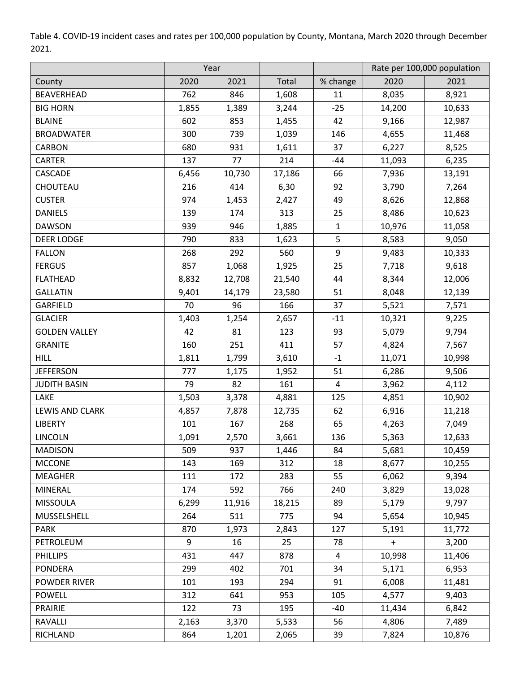Table 4. COVID-19 incident cases and rates per 100,000 population by County, Montana, March 2020 through December 2021.

|                        | Year  |        |        |                |        | Rate per 100,000 population |
|------------------------|-------|--------|--------|----------------|--------|-----------------------------|
| County                 | 2020  | 2021   | Total  | % change       | 2020   | 2021                        |
| <b>BEAVERHEAD</b>      | 762   | 846    | 1,608  | 11             | 8,035  | 8,921                       |
| <b>BIG HORN</b>        | 1,855 | 1,389  | 3,244  | $-25$          | 14,200 | 10,633                      |
| <b>BLAINE</b>          | 602   | 853    | 1,455  | 42             | 9,166  | 12,987                      |
| <b>BROADWATER</b>      | 300   | 739    | 1,039  | 146            | 4,655  | 11,468                      |
| <b>CARBON</b>          | 680   | 931    | 1,611  | 37             | 6,227  | 8,525                       |
| CARTER                 | 137   | 77     | 214    | $-44$          | 11,093 | 6,235                       |
| CASCADE                | 6,456 | 10,730 | 17,186 | 66             | 7,936  | 13,191                      |
| CHOUTEAU               | 216   | 414    | 6,30   | 92             | 3,790  | 7,264                       |
| <b>CUSTER</b>          | 974   | 1,453  | 2,427  | 49             | 8,626  | 12,868                      |
| <b>DANIELS</b>         | 139   | 174    | 313    | 25             | 8,486  | 10,623                      |
| <b>DAWSON</b>          | 939   | 946    | 1,885  | $\mathbf{1}$   | 10,976 | 11,058                      |
| <b>DEER LODGE</b>      | 790   | 833    | 1,623  | 5              | 8,583  | 9,050                       |
| <b>FALLON</b>          | 268   | 292    | 560    | 9              | 9,483  | 10,333                      |
| <b>FERGUS</b>          | 857   | 1,068  | 1,925  | 25             | 7,718  | 9,618                       |
| <b>FLATHEAD</b>        | 8,832 | 12,708 | 21,540 | 44             | 8,344  | 12,006                      |
| <b>GALLATIN</b>        | 9,401 | 14,179 | 23,580 | 51             | 8,048  | 12,139                      |
| GARFIELD               | 70    | 96     | 166    | 37             | 5,521  | 7,571                       |
| <b>GLACIER</b>         | 1,403 | 1,254  | 2,657  | $-11$          | 10,321 | 9,225                       |
| <b>GOLDEN VALLEY</b>   | 42    | 81     | 123    | 93             | 5,079  | 9,794                       |
| <b>GRANITE</b>         | 160   | 251    | 411    | 57             | 4,824  | 7,567                       |
| <b>HILL</b>            | 1,811 | 1,799  | 3,610  | $-1$           | 11,071 | 10,998                      |
| <b>JEFFERSON</b>       | 777   | 1,175  | 1,952  | 51             | 6,286  | 9,506                       |
| <b>JUDITH BASIN</b>    | 79    | 82     | 161    | $\overline{4}$ | 3,962  | 4,112                       |
| LAKE                   | 1,503 | 3,378  | 4,881  | 125            | 4,851  | 10,902                      |
| <b>LEWIS AND CLARK</b> | 4,857 | 7,878  | 12,735 | 62             | 6,916  | 11,218                      |
| <b>LIBERTY</b>         | 101   | 167    | 268    | 65             | 4,263  | 7,049                       |
| <b>LINCOLN</b>         | 1,091 | 2,570  | 3,661  | 136            | 5,363  | 12,633                      |
| <b>MADISON</b>         | 509   | 937    | 1,446  | 84             | 5,681  | 10,459                      |
| <b>MCCONE</b>          | 143   | 169    | 312    | 18             | 8,677  | 10,255                      |
| <b>MEAGHER</b>         | 111   | 172    | 283    | 55             | 6,062  | 9,394                       |
| <b>MINERAL</b>         | 174   | 592    | 766    | 240            | 3,829  | 13,028                      |
| <b>MISSOULA</b>        | 6,299 | 11,916 | 18,215 | 89             | 5,179  | 9,797                       |
| MUSSELSHELL            | 264   | 511    | 775    | 94             | 5,654  | 10,945                      |
| <b>PARK</b>            | 870   | 1,973  | 2,843  | 127            | 5,191  | 11,772                      |
| PETROLEUM              | 9     | 16     | 25     | 78             | $+$    | 3,200                       |
| <b>PHILLIPS</b>        | 431   | 447    | 878    | 4              | 10,998 | 11,406                      |
| <b>PONDERA</b>         | 299   | 402    | 701    | 34             | 5,171  | 6,953                       |
| POWDER RIVER           | 101   | 193    | 294    | 91             | 6,008  | 11,481                      |
| <b>POWELL</b>          | 312   | 641    | 953    | 105            | 4,577  | 9,403                       |
| <b>PRAIRIE</b>         | 122   | 73     | 195    | $-40$          | 11,434 | 6,842                       |
| RAVALLI                | 2,163 | 3,370  | 5,533  | 56             | 4,806  | 7,489                       |
| RICHLAND               | 864   | 1,201  | 2,065  | 39             | 7,824  | 10,876                      |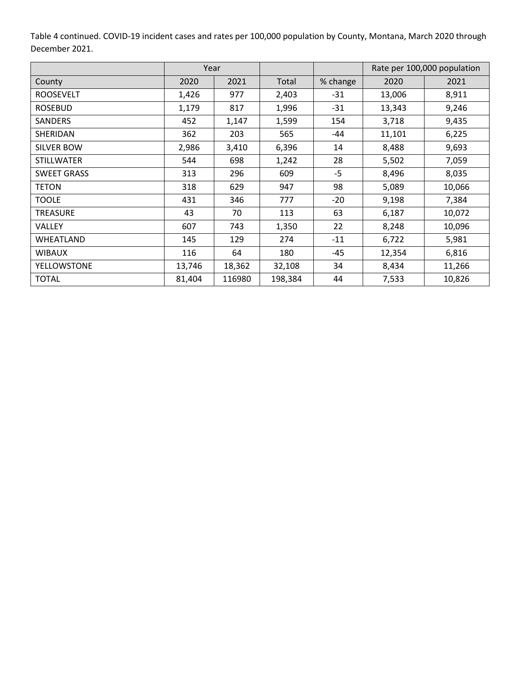Table 4 continued. COVID-19 incident cases and rates per 100,000 population by County, Montana, March 2020 through December 2021.

|                    | Year   |        |         |          | Rate per 100,000 population |        |
|--------------------|--------|--------|---------|----------|-----------------------------|--------|
| County             | 2020   | 2021   | Total   | % change | 2020                        | 2021   |
| <b>ROOSEVELT</b>   | 1,426  | 977    | 2,403   | $-31$    | 13,006                      | 8,911  |
| <b>ROSEBUD</b>     | 1,179  | 817    | 1,996   | $-31$    | 13,343                      | 9,246  |
| <b>SANDERS</b>     | 452    | 1,147  | 1,599   | 154      | 3,718                       | 9,435  |
| SHERIDAN           | 362    | 203    | 565     | -44      | 11,101                      | 6,225  |
| SILVER BOW         | 2,986  | 3,410  | 6,396   | 14       | 8,488                       | 9,693  |
| <b>STILLWATER</b>  | 544    | 698    | 1,242   | 28       | 5,502                       | 7,059  |
| <b>SWEET GRASS</b> | 313    | 296    | 609     | $-5$     | 8,496                       | 8,035  |
| <b>TETON</b>       | 318    | 629    | 947     | 98       | 5,089                       | 10,066 |
| <b>TOOLE</b>       | 431    | 346    | 777     | $-20$    | 9,198                       | 7,384  |
| <b>TREASURE</b>    | 43     | 70     | 113     | 63       | 6,187                       | 10,072 |
| <b>VALLEY</b>      | 607    | 743    | 1,350   | 22       | 8,248                       | 10,096 |
| WHEATLAND          | 145    | 129    | 274     | $-11$    | 6,722                       | 5,981  |
| <b>WIBAUX</b>      | 116    | 64     | 180     | $-45$    | 12,354                      | 6,816  |
| YELLOWSTONE        | 13,746 | 18,362 | 32,108  | 34       | 8,434                       | 11,266 |
| <b>TOTAL</b>       | 81,404 | 116980 | 198,384 | 44       | 7,533                       | 10,826 |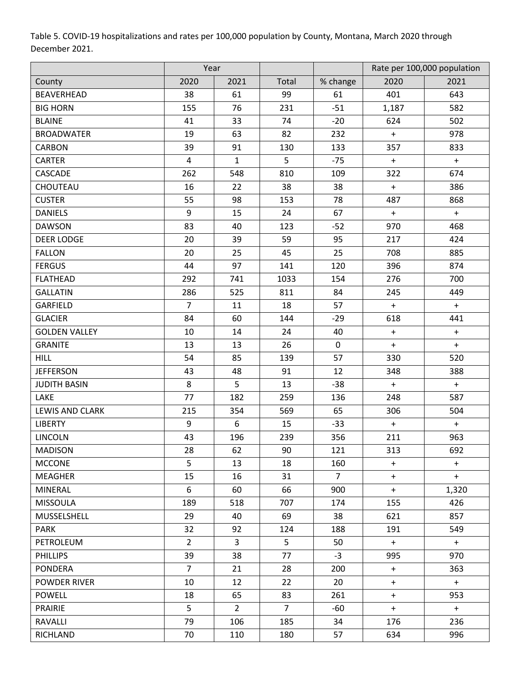Table 5. COVID-19 hospitalizations and rates per 100,000 population by County, Montana, March 2020 through December 2021.

| 2020<br>2021<br>Total<br>2020<br>% change<br>2021<br>County<br>BEAVERHEAD<br>38<br>61<br>99<br>401<br>643<br>61<br>76<br>$-51$<br>582<br><b>BIG HORN</b><br>155<br>231<br>1,187<br>74<br>$-20$<br><b>BLAINE</b><br>41<br>33<br>624<br>502<br>19<br>63<br>82<br><b>BROADWATER</b><br>232<br>978<br>$\boldsymbol{+}$<br>39<br>91<br>133<br>357<br>833<br><b>CARBON</b><br>130<br>5<br>CARTER<br>4<br>$\mathbf{1}$<br>$-75$<br>$\ddot{}$<br>$+$<br>CASCADE<br>262<br>548<br>810<br>322<br>674<br>109<br>CHOUTEAU<br>16<br>22<br>38<br>38<br>386<br>$\boldsymbol{+}$<br><b>CUSTER</b><br>55<br>98<br>78<br>153<br>487<br>868<br><b>DANIELS</b><br>9<br>15<br>67<br>24<br>$+$<br>$+$ |
|---------------------------------------------------------------------------------------------------------------------------------------------------------------------------------------------------------------------------------------------------------------------------------------------------------------------------------------------------------------------------------------------------------------------------------------------------------------------------------------------------------------------------------------------------------------------------------------------------------------------------------------------------------------------------------|
|                                                                                                                                                                                                                                                                                                                                                                                                                                                                                                                                                                                                                                                                                 |
|                                                                                                                                                                                                                                                                                                                                                                                                                                                                                                                                                                                                                                                                                 |
|                                                                                                                                                                                                                                                                                                                                                                                                                                                                                                                                                                                                                                                                                 |
|                                                                                                                                                                                                                                                                                                                                                                                                                                                                                                                                                                                                                                                                                 |
|                                                                                                                                                                                                                                                                                                                                                                                                                                                                                                                                                                                                                                                                                 |
|                                                                                                                                                                                                                                                                                                                                                                                                                                                                                                                                                                                                                                                                                 |
|                                                                                                                                                                                                                                                                                                                                                                                                                                                                                                                                                                                                                                                                                 |
|                                                                                                                                                                                                                                                                                                                                                                                                                                                                                                                                                                                                                                                                                 |
|                                                                                                                                                                                                                                                                                                                                                                                                                                                                                                                                                                                                                                                                                 |
|                                                                                                                                                                                                                                                                                                                                                                                                                                                                                                                                                                                                                                                                                 |
|                                                                                                                                                                                                                                                                                                                                                                                                                                                                                                                                                                                                                                                                                 |
| 83<br>970<br><b>DAWSON</b><br>40<br>123<br>$-52$<br>468                                                                                                                                                                                                                                                                                                                                                                                                                                                                                                                                                                                                                         |
| 39<br><b>DEER LODGE</b><br>20<br>59<br>95<br>217<br>424                                                                                                                                                                                                                                                                                                                                                                                                                                                                                                                                                                                                                         |
| 25<br><b>FALLON</b><br>20<br>25<br>45<br>708<br>885                                                                                                                                                                                                                                                                                                                                                                                                                                                                                                                                                                                                                             |
| <b>FERGUS</b><br>44<br>97<br>141<br>120<br>396<br>874                                                                                                                                                                                                                                                                                                                                                                                                                                                                                                                                                                                                                           |
| <b>FLATHEAD</b><br>700<br>292<br>741<br>1033<br>154<br>276                                                                                                                                                                                                                                                                                                                                                                                                                                                                                                                                                                                                                      |
| <b>GALLATIN</b><br>286<br>84<br>525<br>811<br>245<br>449                                                                                                                                                                                                                                                                                                                                                                                                                                                                                                                                                                                                                        |
| GARFIELD<br>$\overline{7}$<br>18<br>57<br>11<br>$+$<br>$+$                                                                                                                                                                                                                                                                                                                                                                                                                                                                                                                                                                                                                      |
| 84<br>60<br>618<br><b>GLACIER</b><br>144<br>$-29$<br>441                                                                                                                                                                                                                                                                                                                                                                                                                                                                                                                                                                                                                        |
| <b>GOLDEN VALLEY</b><br>24<br>10<br>14<br>40<br>$+$<br>$+$                                                                                                                                                                                                                                                                                                                                                                                                                                                                                                                                                                                                                      |
| 26<br><b>GRANITE</b><br>13<br>13<br>$\mathbf 0$<br>$+$<br>$+$                                                                                                                                                                                                                                                                                                                                                                                                                                                                                                                                                                                                                   |
| 54<br>85<br>139<br><b>HILL</b><br>57<br>330<br>520                                                                                                                                                                                                                                                                                                                                                                                                                                                                                                                                                                                                                              |
| 12<br><b>JEFFERSON</b><br>43<br>48<br>91<br>348<br>388                                                                                                                                                                                                                                                                                                                                                                                                                                                                                                                                                                                                                          |
| 5<br>8<br>$-38$<br>13<br><b>JUDITH BASIN</b><br>$\ddot{}$<br>$+$                                                                                                                                                                                                                                                                                                                                                                                                                                                                                                                                                                                                                |
| 77<br>248<br>587<br>182<br>259<br>LAKE<br>136                                                                                                                                                                                                                                                                                                                                                                                                                                                                                                                                                                                                                                   |
| <b>LEWIS AND CLARK</b><br>215<br>354<br>569<br>65<br>306<br>504                                                                                                                                                                                                                                                                                                                                                                                                                                                                                                                                                                                                                 |
| 9<br>6<br>$-33$<br><b>LIBERTY</b><br>15<br>$+$<br>$+$                                                                                                                                                                                                                                                                                                                                                                                                                                                                                                                                                                                                                           |
| <b>LINCOLN</b><br>43<br>211<br>196<br>239<br>356<br>963                                                                                                                                                                                                                                                                                                                                                                                                                                                                                                                                                                                                                         |
| 62<br><b>MADISON</b><br>28<br>90<br>121<br>313<br>692                                                                                                                                                                                                                                                                                                                                                                                                                                                                                                                                                                                                                           |
| 5<br><b>MCCONE</b><br>13<br>18<br>160<br>$+$<br>$+$                                                                                                                                                                                                                                                                                                                                                                                                                                                                                                                                                                                                                             |
| 15<br>31<br><b>MEAGHER</b><br>16<br>$\overline{7}$<br>$+$<br>$+$                                                                                                                                                                                                                                                                                                                                                                                                                                                                                                                                                                                                                |
| 6<br>66<br><b>MINERAL</b><br>60<br>900<br>1,320<br>$+$                                                                                                                                                                                                                                                                                                                                                                                                                                                                                                                                                                                                                          |
| 707<br><b>MISSOULA</b><br>189<br>518<br>174<br>155<br>426                                                                                                                                                                                                                                                                                                                                                                                                                                                                                                                                                                                                                       |
| 29<br>MUSSELSHELL<br>40<br>69<br>38<br>621<br>857                                                                                                                                                                                                                                                                                                                                                                                                                                                                                                                                                                                                                               |
| <b>PARK</b><br>32<br>92<br>549<br>124<br>188<br>191                                                                                                                                                                                                                                                                                                                                                                                                                                                                                                                                                                                                                             |
| $\overline{2}$<br>$\mathbf{3}$<br>5<br>PETROLEUM<br>50<br>$+$<br>$+$                                                                                                                                                                                                                                                                                                                                                                                                                                                                                                                                                                                                            |
| 39<br>38<br>77<br>$-3$<br><b>PHILLIPS</b><br>995<br>970                                                                                                                                                                                                                                                                                                                                                                                                                                                                                                                                                                                                                         |
| 7 <sup>1</sup><br><b>PONDERA</b><br>21<br>28<br>363<br>200<br>$+$                                                                                                                                                                                                                                                                                                                                                                                                                                                                                                                                                                                                               |
| 10<br>12<br>22<br>20<br>POWDER RIVER<br>$+$<br>$+$                                                                                                                                                                                                                                                                                                                                                                                                                                                                                                                                                                                                                              |
| 18<br>65<br><b>POWELL</b><br>83<br>261<br>$+$<br>953                                                                                                                                                                                                                                                                                                                                                                                                                                                                                                                                                                                                                            |
| 5<br>$\overline{2}$<br>$\overline{7}$<br><b>PRAIRIE</b><br>-60<br>$+$<br>$+$                                                                                                                                                                                                                                                                                                                                                                                                                                                                                                                                                                                                    |
| <b>RAVALLI</b><br>79<br>106<br>185<br>176<br>236<br>34                                                                                                                                                                                                                                                                                                                                                                                                                                                                                                                                                                                                                          |
| 70<br>180<br>57<br>634<br>996<br>RICHLAND<br>110                                                                                                                                                                                                                                                                                                                                                                                                                                                                                                                                                                                                                                |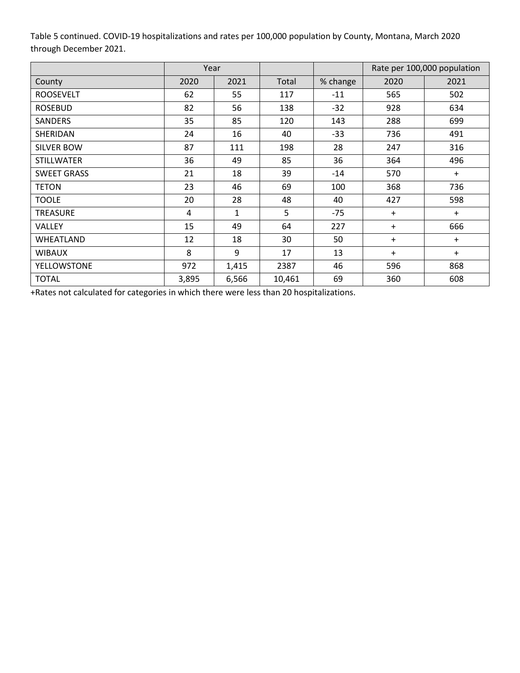Table 5 continued. COVID-19 hospitalizations and rates per 100,000 population by County, Montana, March 2020 through December 2021.

|                    | Year  |              |        |          | Rate per 100,000 population |           |
|--------------------|-------|--------------|--------|----------|-----------------------------|-----------|
| County             | 2020  | 2021         | Total  | % change | 2020                        | 2021      |
| <b>ROOSEVELT</b>   | 62    | 55           | 117    | $-11$    | 565                         | 502       |
| <b>ROSEBUD</b>     | 82    | 56           | 138    | $-32$    | 928                         | 634       |
| <b>SANDERS</b>     | 35    | 85           | 120    | 143      | 288                         | 699       |
| SHERIDAN           | 24    | 16           | 40     | $-33$    | 736                         | 491       |
| SILVER BOW         | 87    | 111          | 198    | 28       | 247                         | 316       |
| <b>STILLWATER</b>  | 36    | 49           | 85     | 36       | 364                         | 496       |
| <b>SWEET GRASS</b> | 21    | 18           | 39     | $-14$    | 570                         | $\ddot{}$ |
| <b>TETON</b>       | 23    | 46           | 69     | 100      | 368                         | 736       |
| <b>TOOLE</b>       | 20    | 28           | 48     | 40       | 427                         | 598       |
| <b>TREASURE</b>    | 4     | $\mathbf{1}$ | 5      | $-75$    | $+$                         | $+$       |
| VALLEY             | 15    | 49           | 64     | 227      | $\pm$                       | 666       |
| WHEATLAND          | 12    | 18           | 30     | 50       | $+$                         | $\ddot{}$ |
| <b>WIBAUX</b>      | 8     | 9            | 17     | 13       | $\pm$                       | $\ddot{}$ |
| <b>YELLOWSTONE</b> | 972   | 1,415        | 2387   | 46       | 596                         | 868       |
| <b>TOTAL</b>       | 3,895 | 6,566        | 10,461 | 69       | 360                         | 608       |

+Rates not calculated for categories in which there were less than 20 hospitalizations.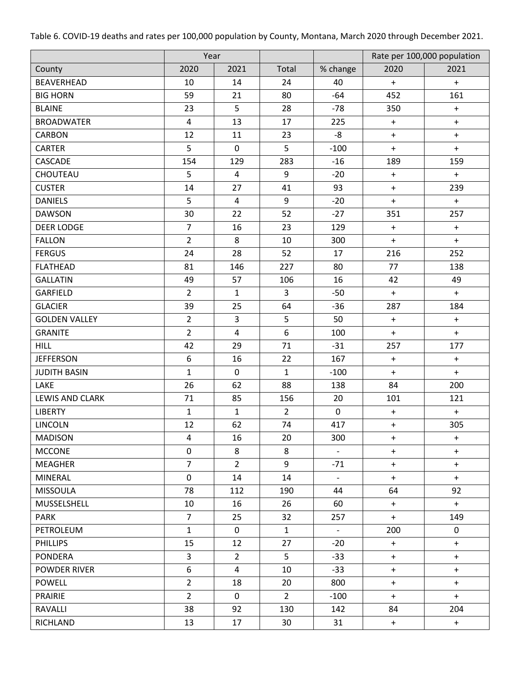Table 6. COVID-19 deaths and rates per 100,000 population by County, Montana, March 2020 through December 2021.

|                        | Year           |                |                  |                          |                  | Rate per 100,000 population |
|------------------------|----------------|----------------|------------------|--------------------------|------------------|-----------------------------|
| County                 | 2020           | 2021           | Total            | % change                 | 2020             | 2021                        |
| BEAVERHEAD             | 10             | 14             | 24               | 40                       | $\ddot{}$        | $\ddot{}$                   |
| <b>BIG HORN</b>        | 59             | 21             | 80               | $-64$                    | 452              | 161                         |
| <b>BLAINE</b>          | 23             | 5              | 28               | $-78$                    | 350              | $+$                         |
| <b>BROADWATER</b>      | $\overline{4}$ | 13             | 17               | 225                      | $\ddot{}$        | $+$                         |
| <b>CARBON</b>          | 12             | 11             | 23               | -8                       | $+$              | $+$                         |
| CARTER                 | 5              | $\mathbf 0$    | 5                | $-100$                   | $\ddot{}$        | $+$                         |
| CASCADE                | 154            | 129            | 283              | $-16$                    | 189              | 159                         |
| CHOUTEAU               | 5              | $\overline{4}$ | 9                | $-20$                    | $\ddot{}$        | $+$                         |
| <b>CUSTER</b>          | 14             | 27             | 41               | 93                       | $\ddot{}$        | 239                         |
| <b>DANIELS</b>         | 5              | 4              | 9                | $-20$                    | $\ddot{}$        | $\ddot{}$                   |
| <b>DAWSON</b>          | 30             | 22             | 52               | $-27$                    | 351              | 257                         |
| <b>DEER LODGE</b>      | $\overline{7}$ | 16             | 23               | 129                      | $+$              | $+$                         |
| <b>FALLON</b>          | $\overline{2}$ | 8              | 10               | 300                      | $\ddot{}$        | $+$                         |
| <b>FERGUS</b>          | 24             | 28             | 52               | 17                       | 216              | 252                         |
| <b>FLATHEAD</b>        | 81             | 146            | 227              | 80                       | 77               | 138                         |
| <b>GALLATIN</b>        | 49             | 57             | 106              | 16                       | 42               | 49                          |
| GARFIELD               | $\overline{2}$ | $\mathbf{1}$   | 3                | $-50$                    | $\ddot{}$        | $\ddot{}$                   |
| <b>GLACIER</b>         | 39             | 25             | 64               | $-36$                    | 287              | 184                         |
| <b>GOLDEN VALLEY</b>   | $2^{\circ}$    | $\mathbf{3}$   | 5                | 50                       | $\ddot{}$        | $+$                         |
| <b>GRANITE</b>         | $\overline{2}$ | $\overline{4}$ | $\boldsymbol{6}$ | 100                      | $\ddot{}$        | $\ddot{}$                   |
| <b>HILL</b>            | 42             | 29             | 71               | $-31$                    | 257              | 177                         |
| <b>JEFFERSON</b>       | 6              | 16             | 22               | 167                      | $+$              | $+$                         |
| <b>JUDITH BASIN</b>    | $\mathbf{1}$   | $\mathbf 0$    | $\mathbf{1}$     | $-100$                   | $\ddot{}$        | $+$                         |
| LAKE                   | 26             | 62             | 88               | 138                      | 84               | 200                         |
| <b>LEWIS AND CLARK</b> | 71             | 85             | 156              | 20                       | 101              | 121                         |
| <b>LIBERTY</b>         | $\mathbf{1}$   | $\mathbf{1}$   | $\overline{2}$   | 0                        | $\boldsymbol{+}$ | $+$                         |
| <b>LINCOLN</b>         | 12             | 62             | 74               | 417                      | $\boldsymbol{+}$ | 305                         |
| <b>MADISON</b>         | $\overline{4}$ | 16             | 20               | 300                      | $+$              | $+$                         |
| <b>MCCONE</b>          | $\mathsf{O}$   | 8              | 8                | $\overline{\phantom{a}}$ | $+$              | $+$                         |
| <b>MEAGHER</b>         | $\overline{7}$ | $\overline{2}$ | 9                | $-71$                    | $+$              | $+$                         |
| MINERAL                | $\mathsf{O}$   | 14             | 14               | $\blacksquare$           | $+$              | $+$                         |
| <b>MISSOULA</b>        | 78             | 112            | 190              | 44                       | 64               | 92                          |
| MUSSELSHELL            | 10             | 16             | 26               | 60                       | $+$              | $+$                         |
| <b>PARK</b>            | $\overline{7}$ | 25             | 32               | 257                      | $+$              | 149                         |
| PETROLEUM              | $\mathbf{1}$   | $\mathbf 0$    | $\mathbf{1}$     | $\overline{\phantom{a}}$ | 200              | $\mathbf 0$                 |
| <b>PHILLIPS</b>        | 15             | 12             | 27               | $-20$                    | $+$              | $+$                         |
| <b>PONDERA</b>         | $\mathsf{3}$   | $\overline{2}$ | 5                | $-33$                    | $+$              | $+$                         |
| POWDER RIVER           | 6              | $\overline{4}$ | 10               | $-33$                    | $+$              | $+$                         |
| <b>POWELL</b>          | $\overline{2}$ | 18             | 20               | 800                      | $+$              | $+$                         |
| <b>PRAIRIE</b>         | $2^{\circ}$    | $\mathbf 0$    | $\overline{2}$   | $-100$                   | $+$              | $+$                         |
| RAVALLI                | 38             | 92             | 130              | 142                      | 84               | 204                         |
| RICHLAND               | 13             | 17             | 30               | 31                       | $+$              | $+$                         |